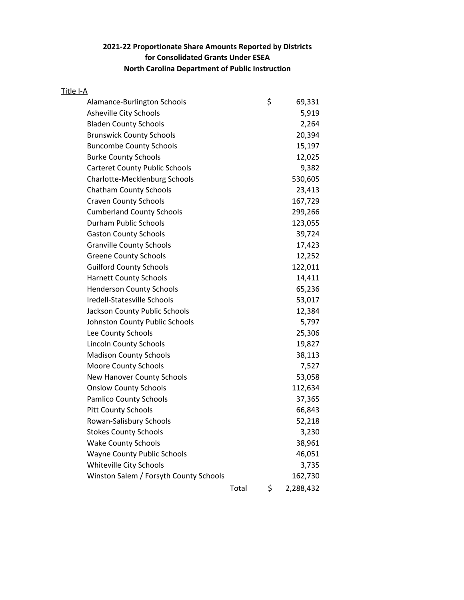## **2021-22 Proportionate Share Amounts Reported by Districts for Consolidated Grants Under ESEA North Carolina Department of Public Instruction**

| Title I-A |                                        |       |                 |
|-----------|----------------------------------------|-------|-----------------|
|           | Alamance-Burlington Schools            |       | \$<br>69,331    |
|           | Asheville City Schools                 |       | 5,919           |
|           | <b>Bladen County Schools</b>           |       | 2,264           |
|           | <b>Brunswick County Schools</b>        |       | 20,394          |
|           | <b>Buncombe County Schools</b>         |       | 15,197          |
|           | <b>Burke County Schools</b>            |       | 12,025          |
|           | <b>Carteret County Public Schools</b>  |       | 9,382           |
|           | <b>Charlotte-Mecklenburg Schools</b>   |       | 530,605         |
|           | <b>Chatham County Schools</b>          |       | 23,413          |
|           | <b>Craven County Schools</b>           |       | 167,729         |
|           | <b>Cumberland County Schools</b>       |       | 299,266         |
|           | Durham Public Schools                  |       | 123,055         |
|           | <b>Gaston County Schools</b>           |       | 39,724          |
|           | <b>Granville County Schools</b>        |       | 17,423          |
|           | <b>Greene County Schools</b>           |       | 12,252          |
|           | <b>Guilford County Schools</b>         |       | 122,011         |
|           | <b>Harnett County Schools</b>          |       | 14,411          |
|           | <b>Henderson County Schools</b>        |       | 65,236          |
|           | Iredell-Statesville Schools            |       | 53,017          |
|           | Jackson County Public Schools          |       | 12,384          |
|           | Johnston County Public Schools         |       | 5,797           |
|           | Lee County Schools                     |       | 25,306          |
|           | <b>Lincoln County Schools</b>          |       | 19,827          |
|           | <b>Madison County Schools</b>          |       | 38,113          |
|           | <b>Moore County Schools</b>            |       | 7,527           |
|           | New Hanover County Schools             |       | 53,058          |
|           | <b>Onslow County Schools</b>           |       | 112,634         |
|           | <b>Pamlico County Schools</b>          |       | 37,365          |
|           | <b>Pitt County Schools</b>             |       | 66,843          |
|           | Rowan-Salisbury Schools                |       | 52,218          |
|           | <b>Stokes County Schools</b>           |       | 3,230           |
|           | <b>Wake County Schools</b>             |       | 38,961          |
|           | <b>Wayne County Public Schools</b>     |       | 46,051          |
|           | Whiteville City Schools                |       | 3,735           |
|           | Winston Salem / Forsyth County Schools |       | 162,730         |
|           |                                        | Total | \$<br>2,288,432 |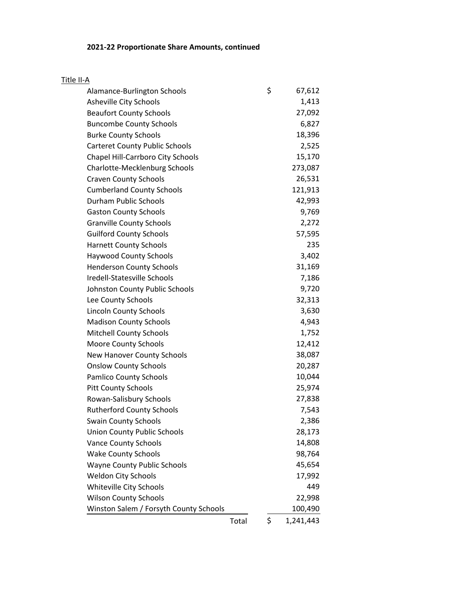## **2021-22 Proportionate Share Amounts, continued**

| Title II-A                             |       |                 |
|----------------------------------------|-------|-----------------|
| Alamance-Burlington Schools            |       | \$<br>67,612    |
| Asheville City Schools                 |       | 1,413           |
| <b>Beaufort County Schools</b>         |       | 27,092          |
| <b>Buncombe County Schools</b>         |       | 6,827           |
| <b>Burke County Schools</b>            |       | 18,396          |
| <b>Carteret County Public Schools</b>  |       | 2,525           |
| Chapel Hill-Carrboro City Schools      |       | 15,170          |
| <b>Charlotte-Mecklenburg Schools</b>   |       | 273,087         |
| <b>Craven County Schools</b>           |       | 26,531          |
| <b>Cumberland County Schools</b>       |       | 121,913         |
| <b>Durham Public Schools</b>           |       | 42,993          |
| <b>Gaston County Schools</b>           |       | 9,769           |
| <b>Granville County Schools</b>        |       | 2,272           |
| <b>Guilford County Schools</b>         |       | 57,595          |
| <b>Harnett County Schools</b>          |       | 235             |
| <b>Haywood County Schools</b>          |       | 3,402           |
| <b>Henderson County Schools</b>        |       | 31,169          |
| Iredell-Statesville Schools            |       | 7,186           |
| Johnston County Public Schools         |       | 9,720           |
| Lee County Schools                     |       | 32,313          |
| <b>Lincoln County Schools</b>          |       | 3,630           |
| <b>Madison County Schools</b>          |       | 4,943           |
| <b>Mitchell County Schools</b>         |       | 1,752           |
| <b>Moore County Schools</b>            |       | 12,412          |
| New Hanover County Schools             |       | 38,087          |
| <b>Onslow County Schools</b>           |       | 20,287          |
| <b>Pamlico County Schools</b>          |       | 10,044          |
| <b>Pitt County Schools</b>             |       | 25,974          |
| Rowan-Salisbury Schools                |       | 27,838          |
| <b>Rutherford County Schools</b>       |       | 7,543           |
| <b>Swain County Schools</b>            |       | 2,386           |
| <b>Union County Public Schools</b>     |       | 28,173          |
| <b>Vance County Schools</b>            |       | 14,808          |
| <b>Wake County Schools</b>             |       | 98,764          |
| <b>Wayne County Public Schools</b>     |       | 45,654          |
| <b>Weldon City Schools</b>             |       | 17,992          |
| Whiteville City Schools                |       | 449             |
| <b>Wilson County Schools</b>           |       | 22,998          |
| Winston Salem / Forsyth County Schools |       | 100,490         |
|                                        | Total | \$<br>1,241,443 |